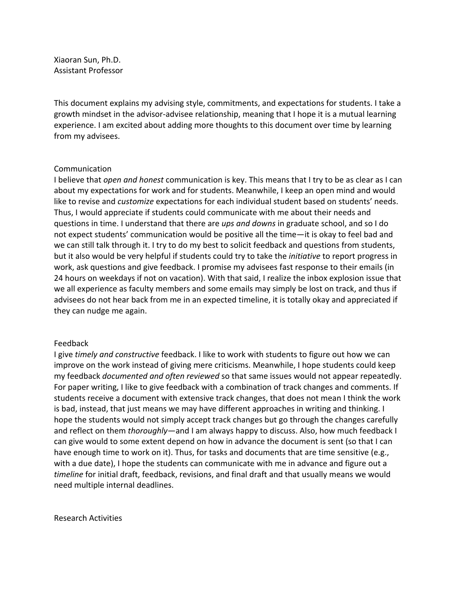Xiaoran Sun, Ph.D. Assistant Professor

This document explains my advising style, commitments, and expectations for students. I take a growth mindset in the advisor-advisee relationship, meaning that I hope it is a mutual learning experience. I am excited about adding more thoughts to this document over time by learning from my advisees.

#### Communication

I believe that *open and honest* communication is key. This means that I try to be as clear as I can about my expectations for work and for students. Meanwhile, I keep an open mind and would like to revise and *customize* expectations for each individual student based on students' needs. Thus, I would appreciate if students could communicate with me about their needs and questions in time. I understand that there are *ups and downs* in graduate school, and so I do not expect students' communication would be positive all the time—it is okay to feel bad and we can still talk through it. I try to do my best to solicit feedback and questions from students, but it also would be very helpful if students could try to take the *initiative* to report progress in work, ask questions and give feedback. I promise my advisees fast response to their emails (in 24 hours on weekdays if not on vacation). With that said, I realize the inbox explosion issue that we all experience as faculty members and some emails may simply be lost on track, and thus if advisees do not hear back from me in an expected timeline, it is totally okay and appreciated if they can nudge me again.

### Feedback

I give *timely and constructive* feedback. I like to work with students to figure out how we can improve on the work instead of giving mere criticisms. Meanwhile, I hope students could keep my feedback *documented and often reviewed* so that same issues would not appear repeatedly. For paper writing, I like to give feedback with a combination of track changes and comments. If students receive a document with extensive track changes, that does not mean I think the work is bad, instead, that just means we may have different approaches in writing and thinking. I hope the students would not simply accept track changes but go through the changes carefully and reflect on them *thoroughly*—and I am always happy to discuss. Also, how much feedback I can give would to some extent depend on how in advance the document is sent (so that I can have enough time to work on it). Thus, for tasks and documents that are time sensitive (e.g., with a due date), I hope the students can communicate with me in advance and figure out a *timeline* for initial draft, feedback, revisions, and final draft and that usually means we would need multiple internal deadlines.

Research Activities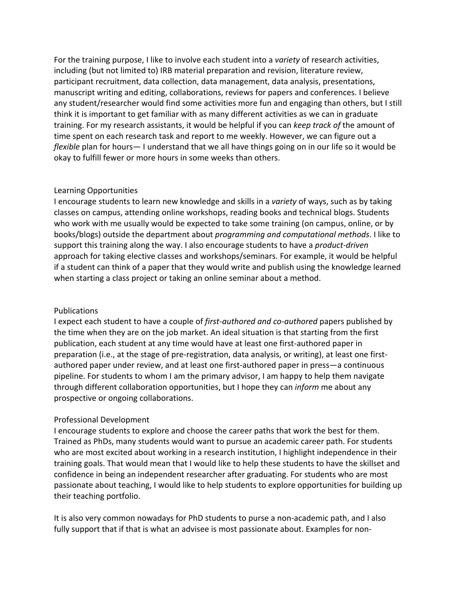For the training purpose, I like to involve each student into a *variety* of research activities, including (but not limited to) IRB material preparation and revision, literature review, participant recruitment, data collection, data management, data analysis, presentations, manuscript writing and editing, collaborations, reviews for papers and conferences. I believe any student/researcher would find some activities more fun and engaging than others, but I still think it is important to get familiar with as many different activities as we can in graduate training. For my research assistants, it would be helpful if you can *keep track of* the amount of time spent on each research task and report to me weekly. However, we can figure out a *flexible* plan for hours— I understand that we all have things going on in our life so it would be okay to fulfill fewer or more hours in some weeks than others.

## Learning Opportunities

I encourage students to learn new knowledge and skills in a *variety* of ways, such as by taking classes on campus, attending online workshops, reading books and technical blogs. Students who work with me usually would be expected to take some training (on campus, online, or by books/blogs) outside the department about *programming and computational methods*. I like to support this training along the way. I also encourage students to have a *product-driven* approach for taking elective classes and workshops/seminars. For example, it would be helpful if a student can think of a paper that they would write and publish using the knowledge learned when starting a class project or taking an online seminar about a method.

### Publications

I expect each student to have a couple of *first-authored and co-authored* papers published by the time when they are on the job market. An ideal situation is that starting from the first publication, each student at any time would have at least one first-authored paper in preparation (i.e., at the stage of pre-registration, data analysis, or writing), at least one firstauthored paper under review, and at least one first-authored paper in press—a continuous pipeline. For students to whom I am the primary advisor, I am happy to help them navigate through different collaboration opportunities, but I hope they can *inform* me about any prospective or ongoing collaborations.

# Professional Development

I encourage students to explore and choose the career paths that work the best for them. Trained as PhDs, many students would want to pursue an academic career path. For students who are most excited about working in a research institution, I highlight independence in their training goals. That would mean that I would like to help these students to have the skillset and confidence in being an independent researcher after graduating. For students who are most passionate about teaching, I would like to help students to explore opportunities for building up their teaching portfolio.

It is also very common nowadays for PhD students to purse a non-academic path, and I also fully support that if that is what an advisee is most passionate about. Examples for non